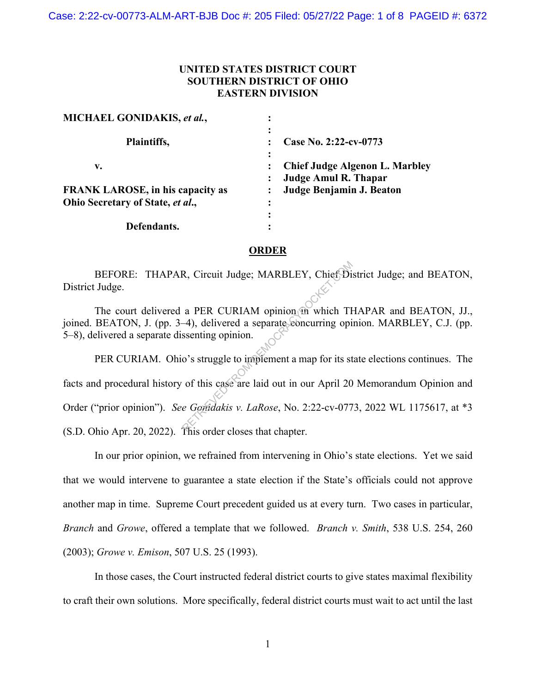## **UNITED STATES DISTRICT COURT SOUTHERN DISTRICT OF OHIO EASTERN DIVISION**

| MICHAEL GONIDAKIS, et al.,              |                                                                      |
|-----------------------------------------|----------------------------------------------------------------------|
| Plaintiffs,                             | Case No. 2:22-cv-0773                                                |
| v.                                      | <b>Chief Judge Algenon L. Marbley</b><br><b>Judge Amul R. Thapar</b> |
| <b>FRANK LAROSE, in his capacity as</b> | Judge Benjamin J. Beaton                                             |
| Ohio Secretary of State, et al.,        |                                                                      |
|                                         |                                                                      |
| Defendants.                             |                                                                      |

## **ORDER**

 BEFORE: THAPAR, Circuit Judge; MARBLEY, Chief District Judge; and BEATON, District Judge.

The court delivered a PER CURIAM opinion in which THAPAR and BEATON, JJ., joined. BEATON, J. (pp. 3–4), delivered a separate concurring opinion. MARBLEY, C.J. (pp. 5–8), delivered a separate dissenting opinion.

PER CURIAM. Ohio's struggle to implement a map for its state elections continues. The facts and procedural history of this case are laid out in our April 20 Memorandum Opinion and Order ("prior opinion"). *See Gonidakis v. LaRose*, No. 2:22-cv-0773, 2022 WL 1175617, at \*3 (S.D. Ohio Apr. 20, 2022). This order closes that chapter. R, Circuit Judge; MARBLEY, Chief Di<br>
a PER CURIAM opinion in which TH<br>
-4), delivered a separate concurring opinion.<br>
o's struggle to implement a map for its st<br>
of this case are laid out in our April 20<br>
e Goridakis v. L

In our prior opinion, we refrained from intervening in Ohio's state elections. Yet we said that we would intervene to guarantee a state election if the State's officials could not approve another map in time. Supreme Court precedent guided us at every turn. Two cases in particular, *Branch* and *Growe*, offered a template that we followed. *Branch v. Smith*, 538 U.S. 254, 260 (2003); *Growe v. Emison*, 507 U.S. 25 (1993).

In those cases, the Court instructed federal district courts to give states maximal flexibility to craft their own solutions. More specifically, federal district courts must wait to act until the last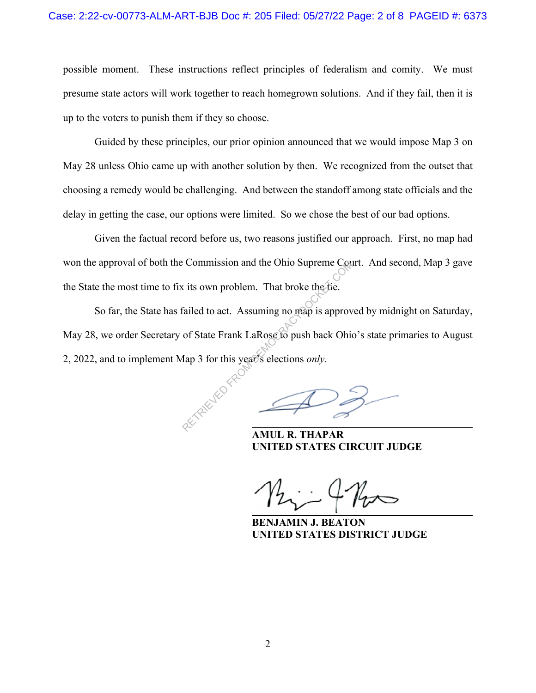possible moment. These instructions reflect principles of federalism and comity. We must presume state actors will work together to reach homegrown solutions. And if they fail, then it is up to the voters to punish them if they so choose.

Guided by these principles, our prior opinion announced that we would impose Map 3 on May 28 unless Ohio came up with another solution by then. We recognized from the outset that choosing a remedy would be challenging. And between the standoff among state officials and the delay in getting the case, our options were limited. So we chose the best of our bad options.

Given the factual record before us, two reasons justified our approach. First, no map had won the approval of both the Commission and the Ohio Supreme Court. And second, Map 3 gave the State the most time to fix its own problem. That broke the tie.

So far, the State has failed to act. Assuming no map is approved by midnight on Saturday, May 28, we order Secretary of State Frank LaRose to push back Ohio's state primaries to August 2, 2022, and to implement Map 3 for this year's elections *only*. Expression and the Ohio Supreme Court is the Supreme Court of the Supreme. That broke the the Supreme Court of State Frank LaRose to push back Ohio Map 3 for this year's elections *only*.

 $\mathcal{P}3$ 

**R. THAPAR UNITED STATES CIRCUIT JUDGE** 

 *\_\_\_\_\_\_\_\_\_\_\_\_* 

 $122 - 412$ 

 **BENJAMIN J. BEATON UNITED STATES DISTRICT JUDGE**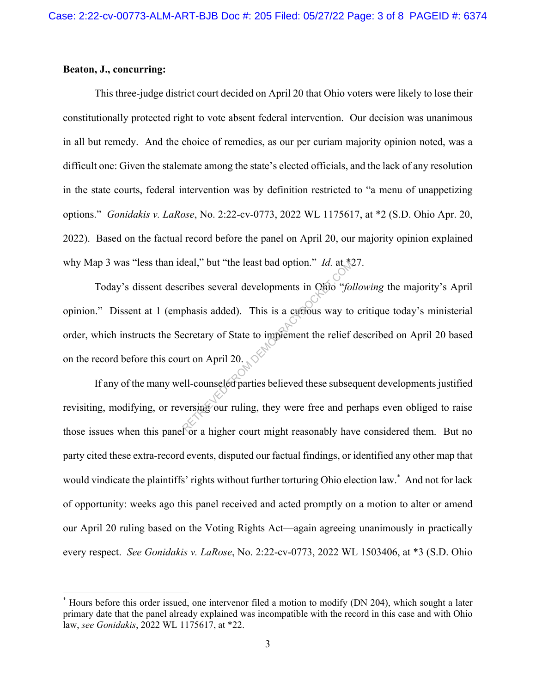## **Beaton, J., concurring:**

This three-judge district court decided on April 20 that Ohio voters were likely to lose their constitutionally protected right to vote absent federal intervention. Our decision was unanimous in all but remedy. And the choice of remedies, as our per curiam majority opinion noted, was a difficult one: Given the stalemate among the state's elected officials, and the lack of any resolution in the state courts, federal intervention was by definition restricted to "a menu of unappetizing options." *Gonidakis v. LaRose*, No. 2:22-cv-0773, 2022 WL 1175617, at \*2 (S.D. Ohio Apr. 20, 2022). Based on the factual record before the panel on April 20, our majority opinion explained why Map 3 was "less than ideal," but "the least bad option." *Id.* at \*27.

 Today's dissent describes several developments in Ohio "*following* the majority's April opinion." Dissent at 1 (emphasis added). This is a curious way to critique today's ministerial order, which instructs the Secretary of State to implement the relief described on April 20 based on the record before this court on April 20. Heal," but "the least bad option." *Id.* at seribes several developments in Ohio "for phasis added). This is a currious way to ecretary of State to implement the relief art on April 20.

If any of the many well-counseled parties believed these subsequent developments justified revisiting, modifying, or reversing our ruling, they were free and perhaps even obliged to raise those issues when this panel or a higher court might reasonably have considered them. But no party cited these extra-record events, disputed our factual findings, or identified any other map that would vindicate the plaintiffs' rights without further torturing Ohio election law.\* And not for lack of opportunity: weeks ago this panel received and acted promptly on a motion to alter or amend our April 20 ruling based on the Voting Rights Act—again agreeing unanimously in practically every respect. *See Gonidakis v. LaRose*, No. 2:22-cv-0773, 2022 WL 1503406, at \*3 (S.D. Ohio

<sup>\*</sup> Hours before this order issued, one intervenor filed a motion to modify (DN 204), which sought a later primary date that the panel already explained was incompatible with the record in this case and with Ohio law, *see Gonidakis*, 2022 WL 1175617, at \*22.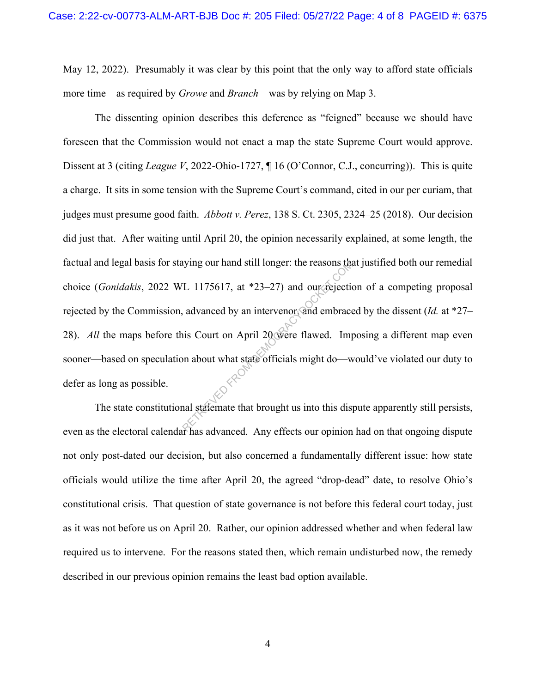May 12, 2022). Presumably it was clear by this point that the only way to afford state officials more time—as required by *Growe* and *Branch*—was by relying on Map 3.

 The dissenting opinion describes this deference as "feigned" because we should have foreseen that the Commission would not enact a map the state Supreme Court would approve. Dissent at 3 (citing *League V*, 2022-Ohio-1727, ¶ 16 (O'Connor, C.J., concurring)). This is quite a charge. It sits in some tension with the Supreme Court's command, cited in our per curiam, that judges must presume good faith. *Abbott v. Perez*, 138 S. Ct. 2305, 2324–25 (2018). Our decision did just that. After waiting until April 20, the opinion necessarily explained, at some length, the factual and legal basis for staying our hand still longer: the reasons that justified both our remedial choice (*Gonidakis*, 2022 WL 1175617, at \*23–27) and our rejection of a competing proposal rejected by the Commission, advanced by an intervenor, and embraced by the dissent (*Id.* at \*27– 28). *All* the maps before this Court on April 20 were flawed. Imposing a different map even sooner—based on speculation about what state officials might do—would've violated our duty to defer as long as possible. gour hand still longer: the reasons that<br>
L 1175617, at \*23–27) and our rejection<br>
demonator and embrace<br>
is Court on April 20 were flawed. Important that state officials might do—was<br>
all statemate that brought us into t

The state constitutional stalemate that brought us into this dispute apparently still persists, even as the electoral calendar has advanced. Any effects our opinion had on that ongoing dispute not only post-dated our decision, but also concerned a fundamentally different issue: how state officials would utilize the time after April 20, the agreed "drop-dead" date, to resolve Ohio's constitutional crisis. That question of state governance is not before this federal court today, just as it was not before us on April 20. Rather, our opinion addressed whether and when federal law required us to intervene. For the reasons stated then, which remain undisturbed now, the remedy described in our previous opinion remains the least bad option available.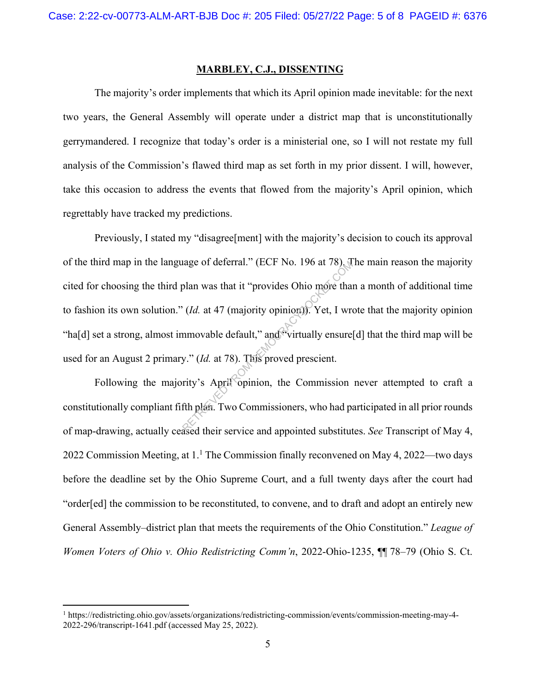## **MARBLEY, C.J., DISSENTING**

The majority's order implements that which its April opinion made inevitable: for the next two years, the General Assembly will operate under a district map that is unconstitutionally gerrymandered. I recognize that today's order is a ministerial one, so I will not restate my full analysis of the Commission's flawed third map as set forth in my prior dissent. I will, however, take this occasion to address the events that flowed from the majority's April opinion, which regrettably have tracked my predictions.

Previously, I stated my "disagree[ment] with the majority's decision to couch its approval of the third map in the language of deferral." (ECF No. 196 at 78). The main reason the majority cited for choosing the third plan was that it "provides Ohio more than a month of additional time to fashion its own solution." (*Id.* at 47 (majority opinion)). Yet, I wrote that the majority opinion "ha[d] set a strong, almost immovable default," and "virtually ensure [d] that the third map will be used for an August 2 primary." (*Id.* at 78). This proved prescient. retain that it "provides Ohio more that<br>
(*Id.* at 47 (majority opinion)). Yet, I wrow<br>
mmovable default," and "virtually ensure<br>
y." (*Id.* at 78). This proved prescient.<br>
rity's April "opinion, the Commission<br>
fth plan.

Following the majority's April opinion, the Commission never attempted to craft a constitutionally compliant fifth plan. Two Commissioners, who had participated in all prior rounds of map-drawing, actually ceased their service and appointed substitutes. *See* Transcript of May 4, 2022 Commission Meeting, at  $1<sup>1</sup>$  The Commission finally reconvened on May 4, 2022—two days before the deadline set by the Ohio Supreme Court, and a full twenty days after the court had "order[ed] the commission to be reconstituted, to convene, and to draft and adopt an entirely new General Assembly–district plan that meets the requirements of the Ohio Constitution." *League of Women Voters of Ohio v. Ohio Redistricting Comm'n*, 2022-Ohio-1235, ¶¶ 78–79 (Ohio S. Ct.

<sup>1</sup> https://redistricting.ohio.gov/assets/organizations/redistricting-commission/events/commission-meeting-may-4- 2022-296/transcript-1641.pdf (accessed May 25, 2022).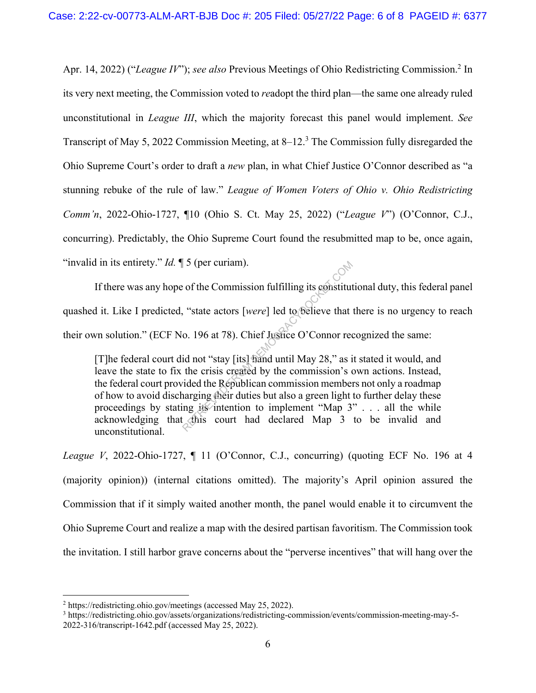Apr. 14, 2022) ("League IV"); see also Previous Meetings of Ohio Redistricting Commission.<sup>2</sup> In its very next meeting, the Commission voted to *re*adopt the third plan—the same one already ruled unconstitutional in *League III*, which the majority forecast this panel would implement. *See*  Transcript of May 5, 2022 Commission Meeting, at 8–12.<sup>3</sup> The Commission fully disregarded the Ohio Supreme Court's order to draft a *new* plan, in what Chief Justice O'Connor described as "a stunning rebuke of the rule of law." *League of Women Voters of Ohio v. Ohio Redistricting Comm'n*, 2022-Ohio-1727, ¶10 (Ohio S. Ct. May 25, 2022) ("*League V*") (O'Connor, C.J., concurring). Predictably, the Ohio Supreme Court found the resubmitted map to be, once again, "invalid in its entirety." *Id.*  $\parallel$  5 (per curiam).

If there was any hope of the Commission fulfilling its constitutional duty, this federal panel quashed it. Like I predicted, "state actors [*were*] led to believe that there is no urgency to reach their own solution." (ECF No. 196 at 78). Chief Justice O'Connor recognized the same:

[T]he federal court did not "stay [its] hand until May 28," as it stated it would, and leave the state to fix the crisis created by the commission's own actions. Instead, the federal court provided the Republican commission members not only a roadmap of how to avoid discharging their duties but also a green light to further delay these proceedings by stating its intention to implement "Map  $3$ " . . . all the while acknowledging that this court had declared Map 3 to be invalid and unconstitutional. S (per curiam).<br>
S (of the Commission fulfilling its constitute).<br>
S (state actors [were] led to believe that<br>
c. 196 at 78). Chief Justice O'Connor rec<br>
id not "stay [its] hand until May 28," as i<br>
the crisis created by

*League V*, 2022-Ohio-1727,  $\P$  11 (O'Connor, C.J., concurring) (quoting ECF No. 196 at 4 (majority opinion)) (internal citations omitted). The majority's April opinion assured the Commission that if it simply waited another month, the panel would enable it to circumvent the Ohio Supreme Court and realize a map with the desired partisan favoritism. The Commission took the invitation. I still harbor grave concerns about the "perverse incentives" that will hang over the

<sup>&</sup>lt;sup>2</sup> https://redistricting.ohio.gov/meetings (accessed May 25, 2022).<br><sup>3</sup> https://redistricting.obio.gov/assets/organizations/redistricting.co

<sup>&</sup>lt;sup>3</sup> https://redistricting.ohio.gov/assets/organizations/redistricting-commission/events/commission-meeting-may-5-2022-316/transcript-1642.pdf (accessed May 25, 2022).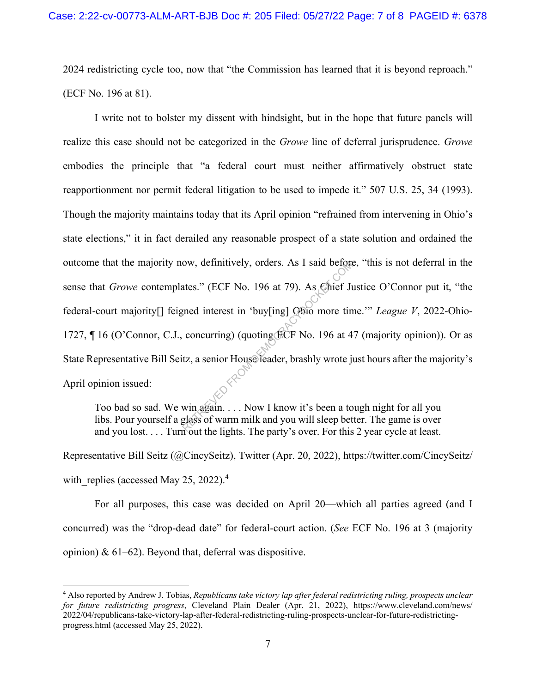2024 redistricting cycle too, now that "the Commission has learned that it is beyond reproach." (ECF No. 196 at 81).

I write not to bolster my dissent with hindsight, but in the hope that future panels will realize this case should not be categorized in the *Growe* line of deferral jurisprudence. *Growe*  embodies the principle that "a federal court must neither affirmatively obstruct state reapportionment nor permit federal litigation to be used to impede it." 507 U.S. 25, 34 (1993). Though the majority maintains today that its April opinion "refrained from intervening in Ohio's state elections," it in fact derailed any reasonable prospect of a state solution and ordained the outcome that the majority now, definitively, orders. As I said before, "this is not deferral in the sense that *Growe* contemplates." (ECF No. 196 at 79). As Chief Justice O'Connor put it, "the federal-court majority[] feigned interest in 'buy[ing] Ohio more time.'" *League V*, 2022-Ohio-1727, ¶ 16 (O'Connor, C.J., concurring) (quoting ECF No. 196 at 47 (majority opinion)). Or as State Representative Bill Seitz, a senior House leader, brashly wrote just hours after the majority's April opinion issued: ow, definitively, orders. As I said before<br>ates." (ECF No. 196 at 79). As Chief Ju<br>grade interest in 'buy[ing] Ohio more tin<br>concurring) (quoting ECF No. 196 at 4<br>tz, a senior House leader, brashly wrote j<br>win again.... No

Too bad so sad. We win again. . . . Now I know it's been a tough night for all you libs. Pour yourself a glass of warm milk and you will sleep better. The game is over and you lost. . . . Turn out the lights. The party's over. For this 2 year cycle at least.

Representative Bill Seitz (@CincySeitz), Twitter (Apr. 20, 2022), https://twitter.com/CincySeitz/ with replies (accessed May 25, 2022). $4$ 

For all purposes, this case was decided on April 20—which all parties agreed (and I concurred) was the "drop-dead date" for federal-court action. (*See* ECF No. 196 at 3 (majority opinion)  $\& 61-62$ ). Beyond that, deferral was dispositive.

<sup>4</sup> Also reported by Andrew J. Tobias, *Republicans take victory lap after federal redistricting ruling, prospects unclear for future redistricting progress*, Cleveland Plain Dealer (Apr. 21, 2022), https://www.cleveland.com/news/ 2022/04/republicans-take-victory-lap-after-federal-redistricting-ruling-prospects-unclear-for-future-redistrictingprogress.html (accessed May 25, 2022).